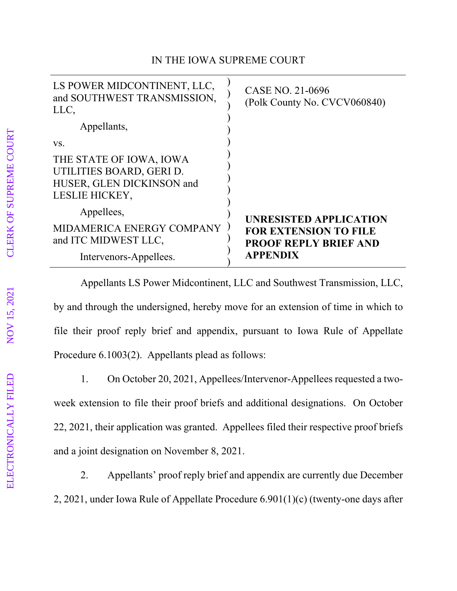## IN THE IOWA SUPREME COURT

| LS POWER MIDCONTINENT, LLC,<br>and SOUTHWEST TRANSMISSION,<br>LLC,                                 | CASE NO. 21-0696<br>(Polk County No. CVCV060840)                                |
|----------------------------------------------------------------------------------------------------|---------------------------------------------------------------------------------|
| Appellants,                                                                                        |                                                                                 |
| VS.                                                                                                |                                                                                 |
| THE STATE OF IOWA, IOWA<br>UTILITIES BOARD, GERI D.<br>HUSER, GLEN DICKINSON and<br>LESLIE HICKEY, |                                                                                 |
| Appellees,                                                                                         | <b>UNRESISTED APPLICATION</b>                                                   |
| MIDAMERICA ENERGY COMPANY<br>and ITC MIDWEST LLC,                                                  | <b>FOR EXTENSION TO FILE</b><br><b>PROOF REPLY BRIEF AND</b><br><b>APPENDIX</b> |
| Intervenors-Appellees.                                                                             |                                                                                 |

Appellants LS Power Midcontinent, LLC and Southwest Transmission, LLC, by and through the undersigned, hereby move for an extension of time in which to file their proof reply brief and appendix, pursuant to Iowa Rule of Appellate Procedure 6.1003(2). Appellants plead as follows:

1. On October 20, 2021, Appellees/Intervenor-Appellees requested a twoweek extension to file their proof briefs and additional designations. On October 22, 2021, their application was granted. Appellees filed their respective proof briefs and a joint designation on November 8, 2021.

2. Appellants' proof reply brief and appendix are currently due December 2, 2021, under Iowa Rule of Appellate Procedure 6.901(1)(c) (twenty-one days after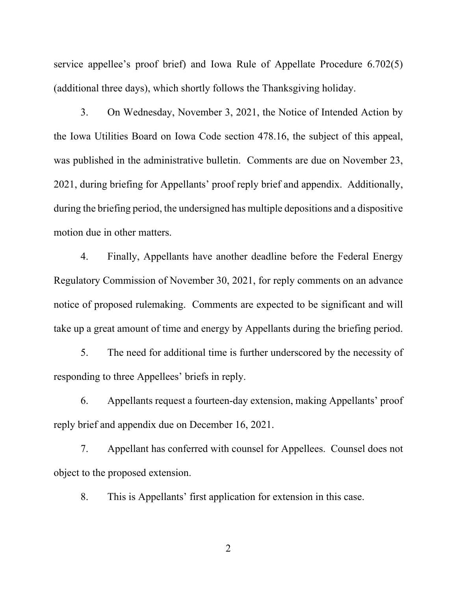service appellee's proof brief) and Iowa Rule of Appellate Procedure 6.702(5) (additional three days), which shortly follows the Thanksgiving holiday.

3. On Wednesday, November 3, 2021, the Notice of Intended Action by the Iowa Utilities Board on Iowa Code section 478.16, the subject of this appeal, was published in the administrative bulletin. Comments are due on November 23, 2021, during briefing for Appellants' proof reply brief and appendix. Additionally, during the briefing period, the undersigned has multiple depositions and a dispositive motion due in other matters.

4. Finally, Appellants have another deadline before the Federal Energy Regulatory Commission of November 30, 2021, for reply comments on an advance notice of proposed rulemaking. Comments are expected to be significant and will take up a great amount of time and energy by Appellants during the briefing period.

5. The need for additional time is further underscored by the necessity of responding to three Appellees' briefs in reply.

6. Appellants request a fourteen-day extension, making Appellants' proof reply brief and appendix due on December 16, 2021.

7. Appellant has conferred with counsel for Appellees. Counsel does not object to the proposed extension.

8. This is Appellants' first application for extension in this case.

2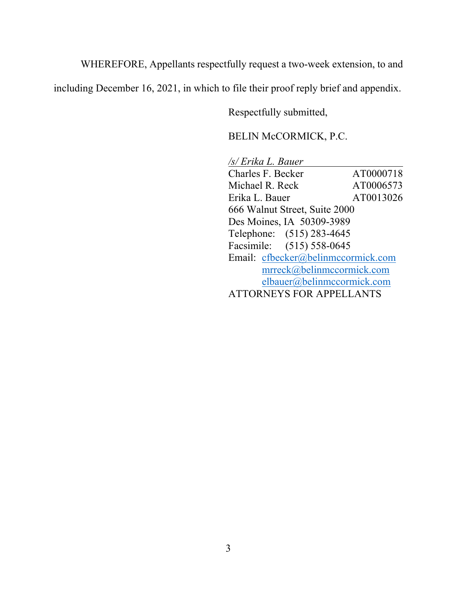WHEREFORE, Appellants respectfully request a two-week extension, to and

including December 16, 2021, in which to file their proof reply brief and appendix.

Respectfully submitted,

BELIN McCORMICK, P.C.

*/s/ Erika L. Bauer*  Charles F. Becker AT0000718 Michael R. Reck AT0006573 Erika L. Bauer AT0013026 666 Walnut Street, Suite 2000 Des Moines, IA 50309-3989 Telephone: (515) 283-4645 Facsimile: (515) 558-0645 Email: cfbecker@belinmccormick.com mrreck@belinmccormick.com elbauer@belinmccormick.com ATTORNEYS FOR APPELLANTS